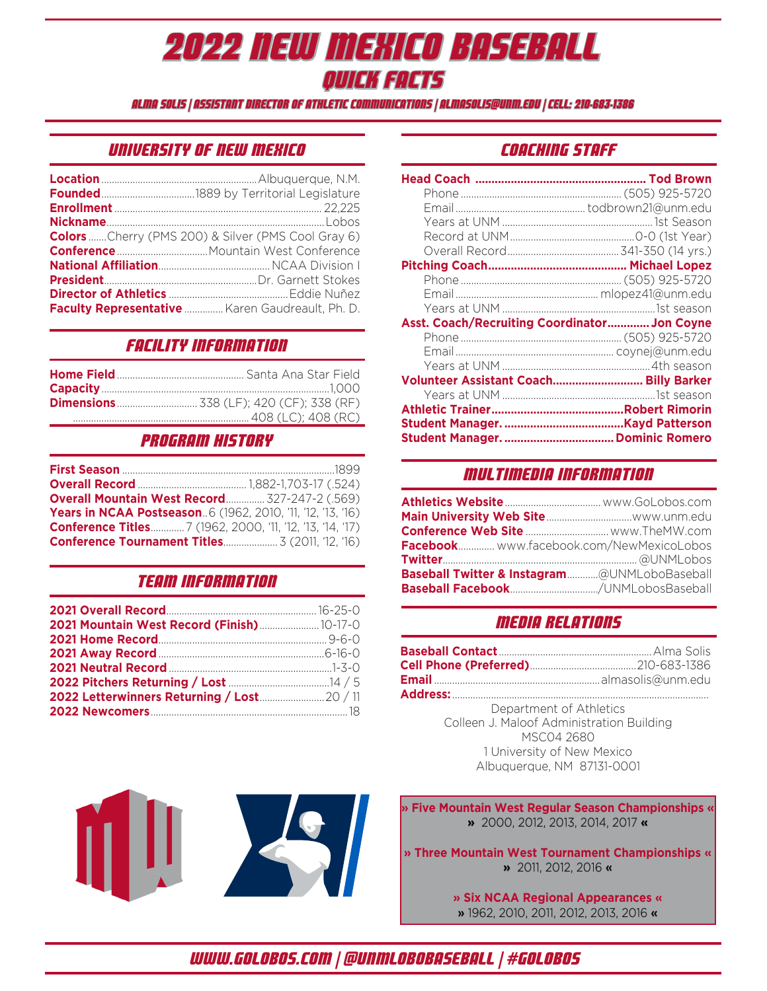## 2022 New Mexico Baseball Quick Facts

alma solis | Assistant Director of Athletic Communications | almasolis@unm.edu | cell: 210-683-1386

## University of New Mexico

| <b>Colors</b> Cherry (PMS 200) & Silver (PMS Cool Gray 6) |
|-----------------------------------------------------------|
|                                                           |
|                                                           |
|                                                           |
|                                                           |
| Faculty Representative  Karen Gaudreault, Ph. D.          |

## Facility Information

## Program History

| <b>Overall Mountain West Record 327-247-2 (.569)</b>               |  |
|--------------------------------------------------------------------|--|
| <b>Years in NCAA Postseason</b> 6 (1962, 2010, '11, '12, '13, '16) |  |
|                                                                    |  |
|                                                                    |  |

## Team Information

| 2021 Mountain West Record (Finish)  10-17-0 |  |
|---------------------------------------------|--|
|                                             |  |
|                                             |  |
|                                             |  |
|                                             |  |
|                                             |  |
|                                             |  |

## COaching Staff

| Asst. Coach/Recruiting Coordinator Jon Coyne |  |
|----------------------------------------------|--|
|                                              |  |
|                                              |  |
|                                              |  |
| Volunteer Assistant Coach Billy Barker       |  |
|                                              |  |
|                                              |  |
|                                              |  |
|                                              |  |

## Multimedia Information

| Facebook www.facebook.com/NewMexicoLobos     |  |
|----------------------------------------------|--|
|                                              |  |
| Baseball Twitter & Instagram@UNMLoboBaseball |  |
| Baseball Facebook/UNMLobosBaseball           |  |

## Media Relations

Department of Athletics Colleen J. Maloof Administration Building MSC04 2680 1 University of New Mexico Albuquerque, NM 87131-0001

**» Five Mountain West Regular Season Championships « »** 2000, 2012, 2013, 2014, 2017 **«**

**» Three Mountain West Tournament Championships « »** 2011, 2012, 2016 «

> **» Six NCAA Regional Appearances «** » 1962, 2010, 2011, 2012, 2013, 2016 «

www.golobos.com | @UNMLoboBaseball | #GoLobos

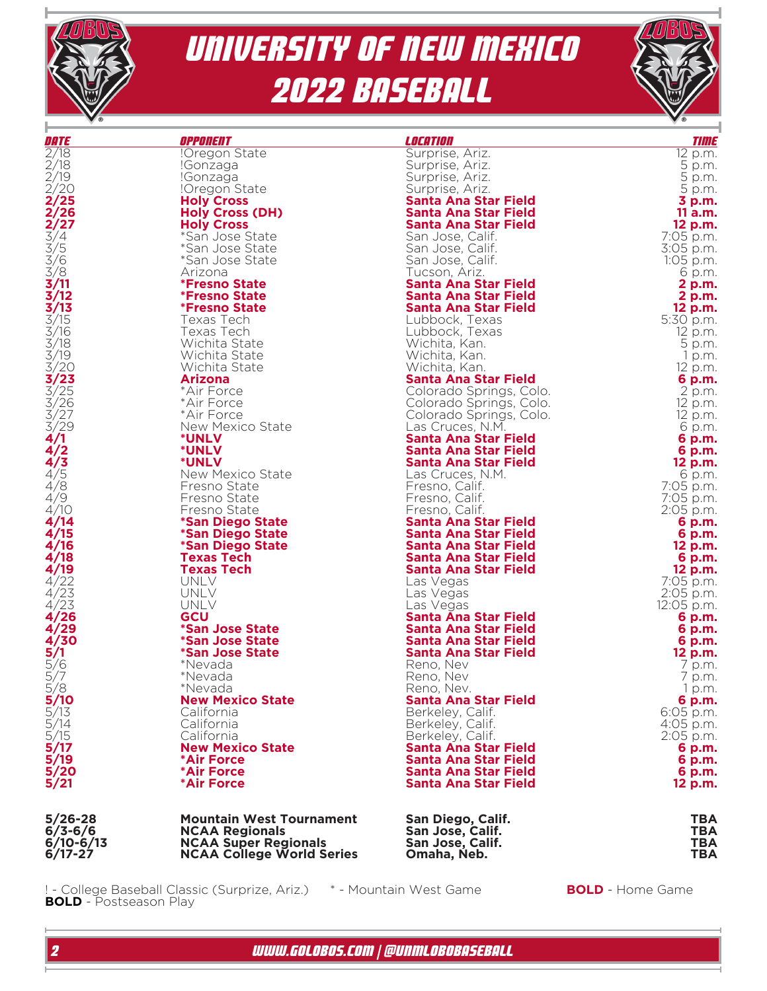



| DATE                                                                              | <b>OPPONENT</b>                  | <i><b>LOCATION</b></i>                        | <b>TIME</b>         |
|-----------------------------------------------------------------------------------|----------------------------------|-----------------------------------------------|---------------------|
| 2/18                                                                              | !Oregon State                    | Surprise, Ariz.                               | 12 p.m.             |
| 2/18<br>2/19                                                                      | !Gonzaga                         | Surprise, Ariz.                               | 5 p.m.              |
|                                                                                   | !Gonzaga                         | Surprise, Ariz.                               | 5 p.m.              |
| $\frac{2}{2}$<br>2/25                                                             | !Oregon State                    | Surprise, Ariz.                               | 5 p.m.              |
|                                                                                   | <b>Holy Cross</b>                | <b>Santa Ana Star Field</b>                   | 3 p.m.              |
| 2/26                                                                              | <b>Holy Cross (DH)</b>           | <b>Santa Ana Star Field</b>                   | 11 a.m.             |
|                                                                                   | <b>Holy Cross</b>                | <b>Santa Ana Star Field</b>                   | 12 p.m.             |
|                                                                                   | *San Jose State                  | San Jose, Calif.                              | 7:05 p.m.           |
|                                                                                   | *San Jose State                  | San Jose, Calif.                              | 3:05 p.m.           |
|                                                                                   | *San Jose State                  | San Jose, Calif.                              | 1:05 p.m.           |
| $\frac{2}{3}/\frac{27}{4}$<br>3/4<br>3/6<br>3/3<br>3/1                            | Arizona                          | Tucson, Ariz.                                 | 6 p.m.              |
| 3/11                                                                              | <i><b>*Fresno State</b></i>      | <b>Santa Ana Star Field</b>                   | 2 p.m.              |
| 3/12                                                                              | <i><b>*Fresno State</b></i>      | <b>Santa Ana Star Field</b>                   | 2 p.m.              |
| $\frac{3/13}{3/15}$                                                               | <i><b>*Fresno State</b></i>      | Santa Ana Star Field                          | 12 p.m.             |
|                                                                                   | Texas Tech                       | Lubbock, Texas                                | 5:30 p.m.           |
| $\frac{3}{16}$<br>$\frac{3}{18}$                                                  | Texas Tech                       | Lubbock, Texas                                | 12 p.m.             |
|                                                                                   | Wichita State                    | Wichita, Kan.                                 | 5 p.m.              |
| 3/19                                                                              | Wichita State                    | Wichita, Kan.                                 | 1 p.m.              |
|                                                                                   | Wichita State                    | Wichita, Kan.                                 | 12 p.m.             |
| $\frac{3}{2}$<br>$\frac{3}{2}$<br>$\frac{3}{2}$<br>$\frac{3}{2}$<br>$\frac{3}{2}$ | <b>Arizona</b>                   | <b>Santa Ana Star Field</b>                   | 6 p.m.              |
|                                                                                   | *Air Force                       | Colorado Springs, Colo.                       | 2 p.m.              |
| $\frac{3}{2}$<br>$\frac{3}{2}$                                                    | *Air Force                       | Colorado Springs, Colo.                       | 12 p.m.             |
|                                                                                   | *Air Force                       | Colorado Springs, Colo.                       | 12 p.m.             |
| 3/29                                                                              | New Mexico State                 | Las Cruces, N.M.                              | 6 p.m.              |
| 4/1                                                                               | <b>*UNLV</b>                     | Santa Ana Star Field                          | 6 p.m.              |
| 4/2                                                                               | <b>*UNLV</b>                     | <b>Santa Ana Star Field</b>                   | 6 p.m.              |
| 4/3                                                                               | <b>*UNLV</b><br>New Mexico State | Santa Ana Star Field                          | 12 p.m.             |
| $\frac{4/5}{4/8}$                                                                 | Fresno State                     | Las Cruces, N.M.                              | 6 p.m.<br>7:05 p.m. |
| 4/9                                                                               | Fresno State                     | Fresno, Calif.<br>Fresno, Calif.              | 7:05 p.m.           |
| 4/10                                                                              |                                  |                                               |                     |
| 4/14                                                                              | Fresno State<br>*San Diego State | Fresno, Calif.<br><b>Santa Ana Star Field</b> | 2:05 p.m.<br>6 p.m. |
| 4/15                                                                              | *San Diego State                 | Santa Ana Star Field                          | 6 p.m.              |
| 4/16                                                                              | *San Diego State                 | Santa Ana Star Field                          | 12 p.m.             |
| 4/18                                                                              | <b>Texas Tech</b>                | <b>Santa Ana Star Field</b>                   | 6 p.m.              |
| 4/19                                                                              | <b>Texas Tech</b>                | Santa Ana Star Field                          | 12 p.m.             |
| 4/22                                                                              | UNLV                             | Las Vegas                                     | 7:05 p.m.           |
| 4/23                                                                              | UNLV                             | Las Vegas                                     | 2:05 p.m.           |
| 4/23                                                                              | UNLV                             | Las Vegas                                     | 12:05 p.m.          |
| 4/26                                                                              | GCU                              | <b>Santa Ana Star Field</b>                   | 6 p.m.              |
| 4/29                                                                              | <i><b>*San Jose State</b></i>    | Santa Ana Star Field                          | 6 p.m.              |
| 4/30                                                                              | <i><b>*San Jose State</b></i>    | <b>Santa Ana Star Field</b>                   | 6 p.m.              |
| $\frac{5}{1}$<br>$\frac{5}{6}$                                                    | <i><b>*San Jose State</b></i>    | <b>Santa Ana Star Field</b>                   | 12 p.m.             |
|                                                                                   | *Nevada                          | Reno, Nev                                     | 7 p.m.              |
|                                                                                   | *Nevada                          | Reno, Nev                                     | 7 p.m.              |
| 5/8                                                                               | *Nevada                          | Reno, Nev.                                    | 1 p.m.              |
|                                                                                   | <b>New Mexico State</b>          | <b>Santa Ana Star Field</b>                   | 6 p.m.              |
|                                                                                   | California                       | Berkeley, Calif.                              | 6:05 p.m.           |
|                                                                                   | California                       | Berkeley, Calif.                              | 4:05 p.m.           |
| 5/10<br>5/13<br>5/14<br>5/17<br>5/17                                              | California                       | Berkeley, Calif.                              | 2:05 p.m.           |
|                                                                                   | <b>New Mexico State</b>          | Santa Ana Star Field                          | 6 p.m.              |
| 5/19                                                                              | *Air Force                       | <b>Santa Ana Star Field</b>                   | 6 p.m.              |
| 5/20                                                                              | *Air Force                       | <b>Santa Ana Star Field</b>                   | 6 p.m.              |
| 5/21                                                                              | *Air Force                       | <b>Santa Ana Star Field</b>                   | 12 p.m.             |
| 5/26-28                                                                           | <b>Mountain West Tournament</b>  | San Diego, Calif.                             | <b>TBA</b>          |
|                                                                                   |                                  |                                               |                     |

| $5/26 - 28$ | <b>Mountain West Tournament</b>  | San Diego, Calif. | TBA |
|-------------|----------------------------------|-------------------|-----|
| $6/3 - 6/6$ | <b>NCAA Regionals</b>            | San Jose, Calif.  | TBA |
| $6/10-6/13$ | <b>NCAA Super Regionals</b>      | San Jose, Calif.  | ТВА |
| $6/17 - 27$ | <b>NCAA College World Series</b> | Omaha. Neb.       | TBA |

! - College Baseball Classic (Surprize, Ariz.) \* - Mountain West Game **BOLD** - Home Game **BOLD** - Postseason Play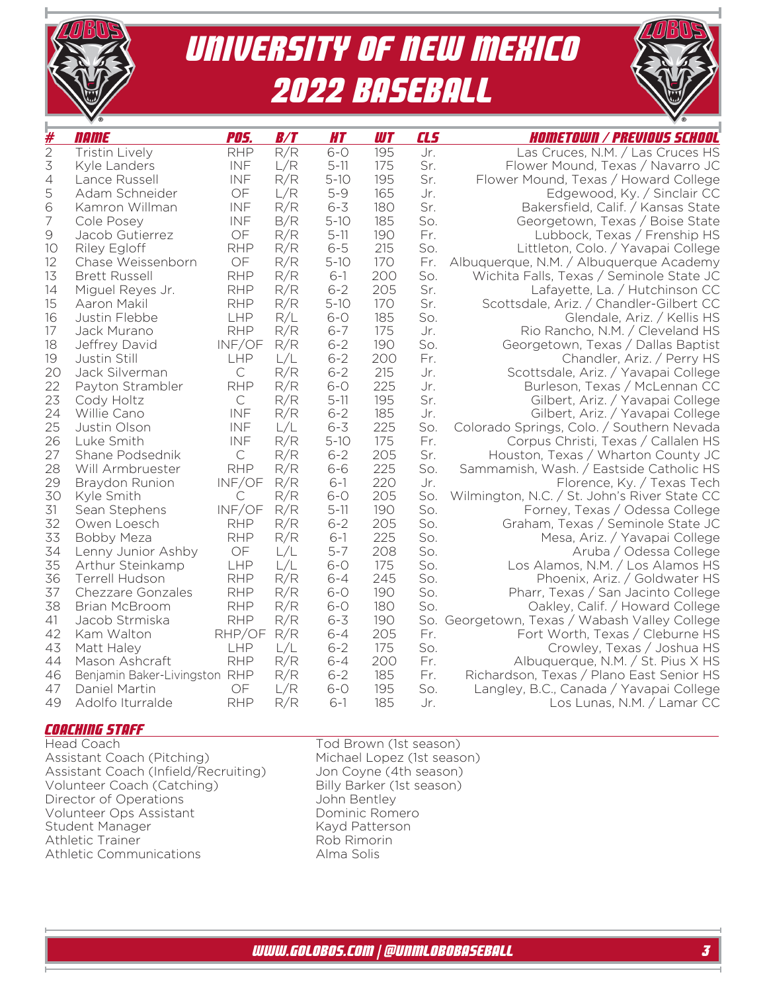

| UNIVERSITY OF NEW MEXICO |
|--------------------------|
| <b>2022 BASEBALL</b>     |

| #              | name                          | <b>POS.</b>  | B/T        | <b>HT</b>           | <b>UIT</b> | CL5        | <i>Hometown / Previous School</i>                                         |
|----------------|-------------------------------|--------------|------------|---------------------|------------|------------|---------------------------------------------------------------------------|
| $\overline{2}$ | <b>Tristin Lively</b>         | <b>RHP</b>   | R/R        | $6-0$               | 195        | Jr.        | Las Cruces, N.M. / Las Cruces HS                                          |
| $\preceq$      | Kyle Landers                  | INF          | L/R        | $5 - 11$            | 175        | Sr.        | Flower Mound, Texas / Navarro JC                                          |
| $\overline{4}$ | Lance Russell                 | INF          | R/R        | $5 - 10$            | 195        | Sr.        | Flower Mound, Texas / Howard College                                      |
| 5              | Adam Schneider                | OF           | L/R        | $5 - 9$             | 165        | Jr.        | Edgewood, Ky. / Sinclair CC                                               |
| 6              | Kamron Willman                | INF          | R/R        | $6 - 3$             | 180        | Sr.        | Bakersfield, Calif. / Kansas State                                        |
| $\overline{ }$ | Cole Posey                    | INF          | B/R        | $5 - 10$            | 185        | So.        | Georgetown, Texas / Boise State                                           |
| $\Theta$       | Jacob Gutierrez               | OF           | R/R        | $5 - 11$            | 190        | Fr.        | Lubbock, Texas / Frenship HS                                              |
| 10             | <b>Riley Egloff</b>           | <b>RHP</b>   | R/R        | $6 - 5$             | 215        | So.        | Littleton, Colo. / Yavapai College                                        |
| 12             | Chase Weissenborn             | OF           | R/R        | $5 - 10$            | 170        | Fr.        | Albuquerque, N.M. / Albuquerque Academy                                   |
| 13             | <b>Brett Russell</b>          | <b>RHP</b>   | R/R        | $6-1$               | 200        | So.        | Wichita Falls, Texas / Seminole State JC                                  |
| 14             | Miguel Reyes Jr.              | <b>RHP</b>   | R/R        | $6 - 2$             | 205        | Sr.        | Lafayette, La. / Hutchinson CC                                            |
| 15             | Aaron Makil                   | <b>RHP</b>   | R/R        | $5 - 10$            | 170        | Sr.        | Scottsdale, Ariz. / Chandler-Gilbert CC                                   |
| 16             | Justin Flebbe                 | LHP          | R/L        | $6-0$               | 185        | So.        | Glendale, Ariz. / Kellis HS                                               |
| 17             | Jack Murano                   | <b>RHP</b>   | R/R        | $6 - 7$             | 175        | Jr.        | Rio Rancho, N.M. / Cleveland HS                                           |
| 18             | Jeffrey David                 | INF/OF       | R/R        | $6 - 2$             | 190        | So.        | Georgetown, Texas / Dallas Baptist                                        |
| 19             | Justin Still                  | LHP          | L/L        | $6 - 2$             | 200        | Fr.        | Chandler, Ariz. / Perry HS                                                |
| 20             | Jack Silverman                | $\mathsf{C}$ | R/R        | $6 - 2$             | 215        | Jr.        | Scottsdale, Ariz. / Yavapai College                                       |
| 22             | Payton Strambler              | <b>RHP</b>   | R/R        | $6-0$               | 225        | Jr.        | Burleson, Texas / McLennan CC                                             |
| 23             | Cody Holtz                    | $\mathsf C$  | R/R        | $5 - 11$            | 195        | Sr.        | Gilbert, Ariz. / Yavapai College                                          |
| 24             | Willie Cano                   | INF          | R/R        | $6 - 2$             | 185        | Jr.        | Gilbert, Ariz. / Yavapai College                                          |
| 25<br>26       | Justin Olson<br>Luke Smith    | INF<br>INF   | L/L<br>R/R | $6 - 3$<br>$5 - 10$ | 225<br>175 | So.<br>Fr. | Colorado Springs, Colo. / Southern Nevada                                 |
| 27             | Shane Podsednik               | $\mathsf{C}$ | R/R        | $6 - 2$             | 205        | Sr.        | Corpus Christi, Texas / Callalen HS<br>Houston, Texas / Wharton County JC |
| 28             | Will Armbruester              | <b>RHP</b>   | R/R        | $6 - 6$             | 225        | So.        | Sammamish, Wash. / Eastside Catholic HS                                   |
| 29             | Braydon Runion                | INF/OF       | R/R        | $6-1$               | 220        | Jr.        | Florence, Ky. / Texas Tech                                                |
| 30             | Kyle Smith                    | C            | R/R        | $6 - 0$             | 205        | So.        | Wilmington, N.C. / St. John's River State CC                              |
| 31             | Sean Stephens                 | INF/OF       | R/R        | $5 - 11$            | 190        | So.        | Forney, Texas / Odessa College                                            |
| 32             | Owen Loesch                   | <b>RHP</b>   | R/R        | $6 - 2$             | 205        | So.        | Graham, Texas / Seminole State JC                                         |
| 33             | <b>Bobby Meza</b>             | <b>RHP</b>   | R/R        | $6-1$               | 225        | So.        | Mesa, Ariz. / Yavapai College                                             |
| 34             | Lenny Junior Ashby            | OF           | L/L        | $5 - 7$             | 208        | So.        | Aruba / Odessa College                                                    |
| 35             | Arthur Steinkamp              | LHP          | L/L        | $6-0$               | 175        | So.        | Los Alamos, N.M. / Los Alamos HS                                          |
| 36             | <b>Terrell Hudson</b>         | <b>RHP</b>   | R/R        | $6 - 4$             | 245        | So.        | Phoenix, Ariz. / Goldwater HS                                             |
| 37             | Chezzare Gonzales             | <b>RHP</b>   | R/R        | $6-0$               | 190        | So.        | Pharr, Texas / San Jacinto College                                        |
| 38             | <b>Brian McBroom</b>          | <b>RHP</b>   | R/R        | $6-0$               | 180        | So.        | Oakley, Calif. / Howard College                                           |
| 41             | Jacob Strmiska                | <b>RHP</b>   | R/R        | $6 - 3$             | 190        |            | So. Georgetown, Texas / Wabash Valley College                             |
| 42             | Kam Walton                    | RHP/OF       | R/R        | $6 - 4$             | 205        | Fr.        | Fort Worth, Texas / Cleburne HS                                           |
| 43             | Matt Haley                    | LHP          | L/L        | $6 - 2$             | 175        | So.        | Crowley, Texas / Joshua HS                                                |
| 44             | Mason Ashcraft                | <b>RHP</b>   | R/R        | $6 - 4$             | 200        | Fr.        | Albuquerque, N.M. / St. Pius X HS                                         |
| 46             | Benjamin Baker-Livingston RHP |              | R/R        | $6 - 2$             | 185        | Fr.        | Richardson, Texas / Plano East Senior HS                                  |
| 47             | Daniel Martin                 | OF           | L/R        | $6-0$               | 195        | So.        | Langley, B.C., Canada / Yavapai College                                   |
| 49             | Adolfo Iturralde              | <b>RHP</b>   | R/R        | $6-1$               | 185        | Jr.        | Los Lunas, N.M. / Lamar CC                                                |
|                |                               |              |            |                     |            |            |                                                                           |

## **COACHING STAFF**

Head Coach<br>Assistant Coach (Pitching) Tod Brown (1st season)<br>Michael Lopez (1st season) Assistant Coach (Infield/Recruiting) Jon Coyne (4th season)<br>
Volunteer Coach (Catching) Billy Barker (1st season) Volunteer Coach (Catching) Billy Barker (1st season) Director of Operations **State State Search Search Article State Search Article State Search Search Search Search** Volunteer Ops Assistant Dominic Romero<br>
Student Manager Manager Kayd Patterson Student Manager Kayd Patters<br>
Athletic Trainer Kob Rimorin Athletic Trainer<br>
Athletic Communications<br>
Alma Solis Athletic Communications

Michael Lopez (1st season)<br>Jon Coyne (4th season)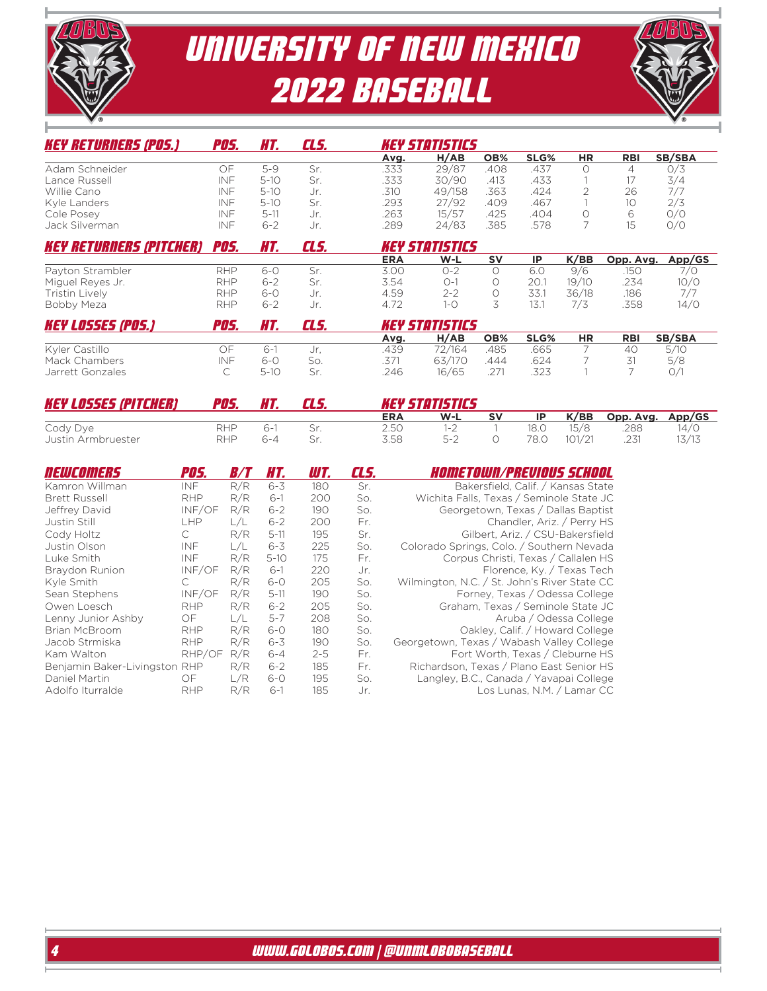



| <b>KEY RETURNERS (POS.)</b>    | <i><b>POS.</b></i> | HT.      | CLS. | <b>KEY STATISTICS</b> |        |           |           |           |            |        |
|--------------------------------|--------------------|----------|------|-----------------------|--------|-----------|-----------|-----------|------------|--------|
|                                |                    |          |      | Avg.                  | H/AB   | OB%       | SLG%      | <b>HR</b> | <b>RBI</b> | SB/SBA |
| Adam Schneider                 | ОF                 | $5-9$    | Sr.  | .333                  | 29/87  | .408      | .437      |           | 4          | O/3    |
| Lance Russell                  | <b>INF</b>         | $5 - 10$ | Sr.  | .333                  | 30/90  | .413      | .433      |           |            | 3/4    |
| Willie Cano                    | INF                | $5-10$   | Jr.  | .310                  | 49/158 | .363      | .424      |           | 26         | 7/7    |
| Kyle Landers                   | <b>INF</b>         | $5-10$   | Sr.  | .293                  | 27/92  | .409      | .467      |           | 10         | 2/3    |
| Cole Posey                     | <b>INF</b>         | 5-11     | Jr.  | .263                  | 15/57  | .425      | .404      |           | 6          | O/O    |
| Jack Silverman                 | <b>INF</b>         | 6-2      | Jr.  | .289                  | 24/83  | .385      | .578      |           | 15         | O/O    |
| <b>KEY RETURNERS (PITCHER)</b> | <b>POS.</b>        | HT.      | CLS. | <b>KEY STATISTICS</b> |        |           |           |           |            |        |
|                                |                    |          |      | <b>ERA</b>            | $W-L$  | <b>SV</b> | <b>IP</b> | K/BB      | Opp. Avg.  | App/GS |
| Payton Strambler               | <b>RHP</b>         | $6-0$    | Sr.  | 3.00                  | 0-2    |           | 6.0       | 9/6       | .150       | 7/0    |
| Miguel Reyes Jr.               | <b>RHP</b>         | 6-2      | Sr.  | 3.54                  | $() -$ |           | 20.       | 19/10     | .234       | 10/0   |

| Bobby Meza               | RHP  | 6-2     |       | 4.72 |                       |               | 13.  |           | .358       | 14/0   |
|--------------------------|------|---------|-------|------|-----------------------|---------------|------|-----------|------------|--------|
| <b>KEY LOSSES (POS.)</b> | POS. |         | CL 5. |      | <b>KEY STOTISTICS</b> |               |      |           |            |        |
|                          |      |         |       | Avg. | H/AB                  | OB%           | SLG% | <b>HR</b> | <b>RBI</b> | SB/SBA |
| Kyler Castillo           | ЭF   | $6 - 1$ |       | .439 | 72/164                | 485           | 665  |           | 40         | 5/10   |
| Mack Chambers            | INF  | 6-0     | So.   | .371 | 63/170                | 444           | .624 |           |            | 5/8    |
| Jarrett Gonzales         |      | $5-10$  | Sr    | 246  | 16/65                 | $.27^{\circ}$ | .323 |           |            | 0/     |

Tristin Lively RHP 6-0 Jr. 4.59 2-2 0 33.1 36/18 .186 7/7

| <b>KEY LOSSES (PITCHER)</b>    | POS.       |            |              | <b>KEY STATISTICS</b> |    |              |                |             |               |  |  |  |  |
|--------------------------------|------------|------------|--------------|-----------------------|----|--------------|----------------|-------------|---------------|--|--|--|--|
|                                |            |            | <b>ERA</b>   | W-L                   | sv | ID           | K/BB           | Opp. Avg.   | App/GS        |  |  |  |  |
| Cody Dye<br>Justin Armbruester | RHP<br>RHP | ს -<br>6-4 | 2.50<br>3.58 | $1 - 2$<br>5-2        |    | 18.C<br>78.0 | 15/8<br>101/21 | 288<br>.231 | 14/0<br>13/13 |  |  |  |  |

| NEWCOMERS                 | POS.       | <i>B/T</i> | HT.      | WT.     | CL 5. | <i>Hometown/previous school</i>              |
|---------------------------|------------|------------|----------|---------|-------|----------------------------------------------|
| Kamron Willman            | <b>INF</b> | R/R        | $6 - 3$  | 180     | Sr.   | Bakersfield, Calif. / Kansas State           |
| <b>Brett Russell</b>      | <b>RHP</b> | R/R        | $6-1$    | 200     | So.   | Wichita Falls, Texas / Seminole State JC     |
| Jeffrey David             | INF/OF     | R/R        | $6 - 2$  | 190     | So.   | Georgetown, Texas / Dallas Baptist           |
| Justin Still              | H          | L/L        | $6 - 2$  | 200     | Fr.   | Chandler, Ariz. / Perry HS                   |
| Cody Holtz                | C          | R/R        | $5 - 11$ | 195     | Sr.   | Gilbert, Ariz. / CSU-Bakersfield             |
| Justin Olson              | INF        | L/L        | $6 - 3$  | 225     | So.   | Colorado Springs, Colo. / Southern Nevada    |
| Luke Smith                | <b>INF</b> | R/R        | $5-10$   | 175     | Fr.   | Corpus Christi, Texas / Callalen HS          |
| Braydon Runion            | INF/OF     | R/R        | $6-1$    | 220     | Jr.   | Florence, Ky. / Texas Tech                   |
| Kyle Smith                | C.         | R/R        | $6 - 0$  | 205     | So.   | Wilmington, N.C. / St. John's River State CC |
| Sean Stephens             | INF/OF     | R/R        | $5 - 11$ | 190     | So.   | Forney, Texas / Odessa College               |
| Owen Loesch               | <b>RHP</b> | R/R        | $6 - 2$  | 205     | So.   | Graham, Texas / Seminole State JC            |
| Lenny Junior Ashby        | OF         | L/L        | $5 - 7$  | 208     | So.   | Aruba / Odessa College                       |
| <b>Brian McBroom</b>      | <b>RHP</b> | R/R        | $6 - 0$  | 180     | So.   | Oakley, Calif. / Howard College              |
| Jacob Strmiska            | <b>RHP</b> | R/R        | $6 - 3$  | 190     | So.   | Georgetown, Texas / Wabash Valley College    |
| Kam Walton                | RHP/OF     | R/R        | $6 - 4$  | $2 - 5$ | Fr.   | Fort Worth, Texas / Cleburne HS              |
| Benjamin Baker-Livingston | <b>RHP</b> | R/R        | $6 - 2$  | 185     | Fr.   | Richardson, Texas / Plano East Senior HS     |
| Daniel Martin             | OF         | L/R        | $6 - 0$  | 195     | So.   | Langley, B.C., Canada / Yavapai College      |
| Adolfo Iturralde          | <b>RHP</b> | R/R        | $6-1$    | 185     | Jr.   | Los Lunas, N.M. / Lamar CC                   |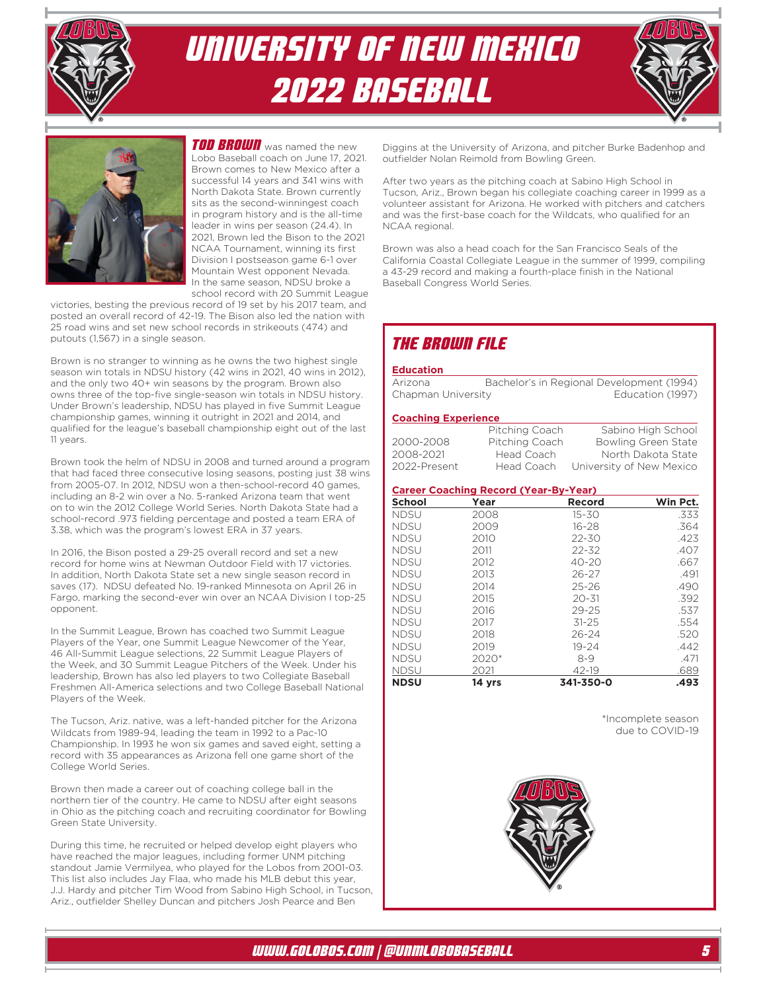





**TOD BROWN** was named the new Lobo Baseball coach on June 17, 2021. Brown comes to New Mexico after a successful 14 years and 341 wins with North Dakota State. Brown currently sits as the second-winningest coach in program history and is the all-time leader in wins per season (24.4). In 2021, Brown led the Bison to the 2021 NCAA Tournament, winning its first Division I postseason game 6-1 over Mountain West opponent Nevada. In the same season, NDSU broke a school record with 20 Summit League

victories, besting the previous record of 19 set by his 2017 team, and posted an overall record of 42-19. The Bison also led the nation with 25 road wins and set new school records in strikeouts (474) and putouts (1,567) in a single season.

Brown is no stranger to winning as he owns the two highest single season win totals in NDSU history (42 wins in 2021, 40 wins in 2012), and the only two 40+ win seasons by the program. Brown also owns three of the top-five single-season win totals in NDSU history. Under Brown's leadership, NDSU has played in five Summit League championship games, winning it outright in 2021 and 2014, and qualified for the league's baseball championship eight out of the last 11 years.

Brown took the helm of NDSU in 2008 and turned around a program that had faced three consecutive losing seasons, posting just 38 wins from 2005-07. In 2012, NDSU won a then-school-record 40 games, including an 8-2 win over a No. 5-ranked Arizona team that went on to win the 2012 College World Series. North Dakota State had a school-record .973 fielding percentage and posted a team ERA of 3.38, which was the program's lowest ERA in 37 years.

In 2016, the Bison posted a 29-25 overall record and set a new record for home wins at Newman Outdoor Field with 17 victories. In addition, North Dakota State set a new single season record in saves (17). NDSU defeated No. 19-ranked Minnesota on April 26 in Fargo, marking the second-ever win over an NCAA Division I top-25 opponent.

In the Summit League, Brown has coached two Summit League Players of the Year, one Summit League Newcomer of the Year, 46 All-Summit League selections, 22 Summit League Players of the Week, and 30 Summit League Pitchers of the Week. Under his leadership, Brown has also led players to two Collegiate Baseball Freshmen All-America selections and two College Baseball National Players of the Week.

The Tucson, Ariz. native, was a left-handed pitcher for the Arizona Wildcats from 1989-94, leading the team in 1992 to a Pac-10 Championship. In 1993 he won six games and saved eight, setting a record with 35 appearances as Arizona fell one game short of the College World Series.

Brown then made a career out of coaching college ball in the northern tier of the country. He came to NDSU after eight seasons in Ohio as the pitching coach and recruiting coordinator for Bowling Green State University.

During this time, he recruited or helped develop eight players who have reached the major leagues, including former UNM pitching standout Jamie Vermilyea, who played for the Lobos from 2001-03. This list also includes Jay Flaa, who made his MLB debut this year, J.J. Hardy and pitcher Tim Wood from Sabino High School, in Tucson, Ariz., outfielder Shelley Duncan and pitchers Josh Pearce and Ben

Diggins at the University of Arizona, and pitcher Burke Badenhop and outfielder Nolan Reimold from Bowling Green.

After two years as the pitching coach at Sabino High School in Tucson, Ariz., Brown began his collegiate coaching career in 1999 as a volunteer assistant for Arizona. He worked with pitchers and catchers and was the first-base coach for the Wildcats, who qualified for an NCAA regional.

Brown was also a head coach for the San Francisco Seals of the California Coastal Collegiate League in the summer of 1999, compiling a 43-29 record and making a fourth-place finish in the National Baseball Congress World Series.

## The Brown File

#### **Education**

| Arizona            | Bachelor's in Regional Development (1994) |                  |
|--------------------|-------------------------------------------|------------------|
| Chapman University |                                           | Education (1997) |

#### **Coaching Experience**

|              | Pitching Coach | Sabino High School       |
|--------------|----------------|--------------------------|
| 2000-2008    | Pitching Coach | Bowling Green State      |
| 2008-2021    | Head Coach     | North Dakota State       |
| 2022-Present | Head Coach     | University of New Mexico |

#### **Career Coaching Record (Year-By-Year)**

| <b>School</b> | Year    | Record    | Win Pct. |
|---------------|---------|-----------|----------|
| <b>NDSU</b>   | 2008    | 15-30     | .333     |
| <b>NDSU</b>   | 2009    | $16 - 28$ | .364     |
| <b>NDSU</b>   | 2010    | $22 - 30$ | .423     |
| <b>NDSU</b>   | 2011    | $22 - 32$ | .407     |
| <b>NDSU</b>   | 2012    | $40 - 20$ | .667     |
| <b>NDSU</b>   | 2013    | 26-27     | .491     |
| <b>NDSU</b>   | 2014    | $25 - 26$ | .490     |
| <b>NDSU</b>   | 2015    | $20 - 31$ | .392     |
| <b>NDSU</b>   | 2016    | $29 - 25$ | .537     |
| <b>NDSU</b>   | 2017    | $31 - 25$ | .554     |
| <b>NDSU</b>   | 2018    | $26 - 24$ | .520     |
| <b>NDSU</b>   | 2019    | $19 - 24$ | .442     |
| <b>NDSU</b>   | $2020*$ | $8-9$     | .471     |
| <b>NDSU</b>   | 2021    | 42-19     | .689     |
| <b>NDSU</b>   | 14 yrs  | 341-350-0 | .493     |

 \*Incomplete season due to COVID-19

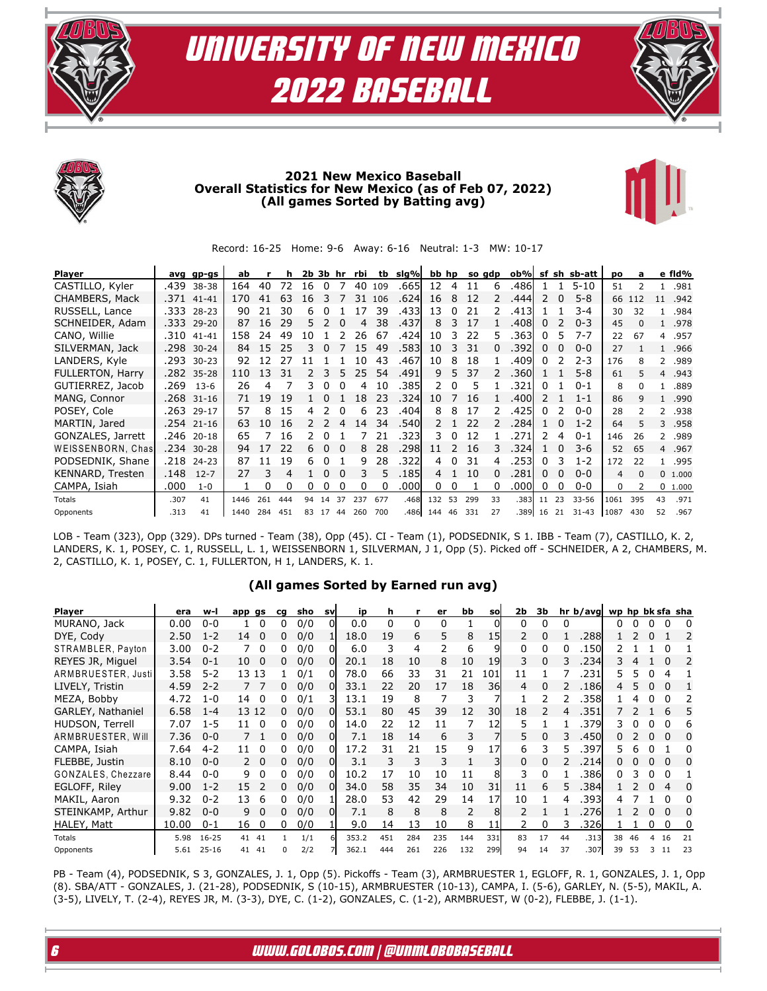







### **2021 New Mexico Baseball Overall Statistics for New Mexico (as of Feb 07, 2022) (All games Sorted by Batting avg)**



Record: 16-25 Home: 9-6 Away: 6-16 Neutral: 1-3 MW: 10-17

| Player            |      | avg gp-gs  | ab   |     | h   |    | 2b 3b hr |          | rbi | tb           | slg%  | bb hp          |               |     | so gdp | ob%l  | sf            | sh | sb-att    | po   | a            |                | e fid%  |
|-------------------|------|------------|------|-----|-----|----|----------|----------|-----|--------------|-------|----------------|---------------|-----|--------|-------|---------------|----|-----------|------|--------------|----------------|---------|
| CASTILLO, Kyler   | .439 | 38-38      | 164  | 40  | 72  | 16 | $\Omega$ |          | 40  | 109          | .665  | 12             | 4             | 11  | 6      | .4861 | 1.            |    | $5 - 10$  | 51   |              |                | .981    |
| CHAMBERS, Mack    | .371 | $41 - 41$  | 170  | 41  | 63  | 16 | 3        |          | 31  | 106          | .624  | 16             | 8             | 12  |        | .444  | $\mathcal{L}$ | 0  | $5 - 8$   |      | 66 112       | 11             | .942    |
| RUSSELL, Lance    | .333 | $28 - 23$  | 90   | 21  | 30  | 6  |          |          | 17  | 39           | .4331 | 13             | 0             | 21  |        | .413  |               |    | $3 - 4$   | 30   | 32           | 1.             | .984    |
| SCHNEIDER, Adam   | .333 | 29-20      | 87   | 16  | 29  | 5. |          | $\Omega$ |     | 38           | .437  | 8              | 3             | 17  |        | .408  | 0             |    | $0 - 3$   | 45   | <sup>n</sup> | $\mathbf{1}$   | .978    |
| CANO, Willie      | .310 | 41-41      | 158  | 24  | 49  | 10 |          |          | 26  | -67          | .424  | 10             | 3             | 22  | 5.     | .3631 | 0             | 5  | $7 - 7$   | 22   | 67           | $\overline{4}$ | .957    |
| SILVERMAN, Jack   | .298 | $30 - 24$  | 84   | 15  | 25  | 3  | $\Omega$ |          | 15  | 49           | .5831 | 10             | 3             | 31  |        | .392l | 0             | 0  | $0 - 0$   | 27   |              | $\mathbf{1}$   | .966    |
| LANDERS, Kyle     | .293 | $30 - 23$  | 92   | 12  | 27  |    |          |          | 10  | 43           | .467  | 10             | 8             | 18  |        | .409  | <sup>0</sup>  |    | $2 - 3$   | 176  | 8            | $\mathcal{P}$  | .989    |
| FULLERTON, Harry  |      | .282 35-28 | 110  | 13  | 31  |    | 3        | 5        | 25  | 54           | .491  | 9              | 5.            | 37  |        | .360l |               |    | $5 - 8$   | 61   | 5            | $\overline{4}$ | .943    |
| GUTIERREZ, Jacob  | .269 | $13 - 6$   | 26   | 4   |     | 3  | $\Omega$ | 0        | 4   | 10           | .385  | 2              | 0             | 5   |        | 321   | 0             |    | $0 - 1$   | 8    | <sup>n</sup> | $\mathbf{1}$   | .889    |
| MANG, Connor      |      | .268 31-16 | 71   | 19  | 19  |    | $\Omega$ |          | 18  | 23           | .324  | 10             |               | 16  |        | .400  | $\mathcal{L}$ |    | $1 - 1$   | 86   | 9            | 1              | .990    |
| POSEY, Cole       | .263 | $29 - 17$  | 57   | 8   | 15  | 4  |          | $\Omega$ | 6   | 23           | .404  | 8              | 8             | 17  |        | .4251 | <sup>0</sup>  |    | $0 - 0$   | 28   |              | 2              | .938    |
| MARTIN, Jared     |      | .254 21-16 | 63   | 10  | 16  | 2  | 2        | 4        | 14  | 34           | .540l | $\mathcal{P}$  |               | 22  |        | .284  |               | 0  | $1 - 2$   | 64   |              | 3              | .958    |
| GONZALES, Jarrett | .246 | $20 - 18$  | 65   |     | 16  | 2. |          |          |     | 21           | .323  | 3.             | 0             | 12  |        | .271  | 2             | 4  | $0 - 1$   | 146  | 26           |                | 2.989   |
| WEISSENBORN, Chas | .234 | $30 - 28$  | 94   | 17  | 22  | 6. | $\Omega$ | - 0      | 8   | 28           | .298  | 11             | $\mathcal{L}$ | 16  |        | .324  |               | 0  | $3-6$     | 52   | 65           |                | 4.967   |
| PODSEDNIK, Shane  | .218 | $24 - 23$  | 87   | 11  | 19  | 6  |          |          | 9   | 28           | .322  | 4              | 0             | 31  | 4      | .2531 | 0             | 3  | $1 - 2$   | 172  | 22           | $\mathbf{1}$   | .995    |
| KENNARD, Tresten  | .148 | $12 - 7$   | 27   | 3   | 4   |    | $\Omega$ | $\Omega$ | 3   | 5            | .1851 | $\overline{4}$ |               | 10  | 0      | .281  | 0             | 0  | $0 - 0$   | 4    | $\Omega$     |                | 0 1.000 |
| CAMPA, Isiah      | .000 | $1 - 0$    |      | 0   | 0   | 0  | 0        | 0        | 0   | <sup>0</sup> | .000l | 0              | 0             | 1   | 0      | .000  | 0             | 0  | $0 - 0$   | 0    | 2            |                | 0 1.000 |
| Totals            | .307 | 41         | 1446 | 261 | 444 | 94 | 14       | 37       | 237 | 677          | .4681 | 132            | 53            | 299 | 33     | .383  | 11            | 23 | $33 - 56$ | 1061 | 395          | 43             | .971    |
| Opponents         | .313 | 41         | 1440 | 284 | 451 | 83 | 17       | 44       | 260 | 700          | .486  | 144            | 46            | 331 | 27     | .389  | 16            | 21 | $31 - 43$ | 1087 | 430          | 52             | .967    |

LOB - Team (323), Opp (329). DPs turned - Team (38), Opp (45). CI - Team (1), PODSEDNIK, S 1. IBB - Team (7), CASTILLO, K. 2, LANDERS, K. 1, POSEY, C. 1, RUSSELL, L. 1, WEISSENBORN 1, SILVERMAN, J 1, Opp (5). Picked off - SCHNEIDER, A 2, CHAMBERS, M. 2, CASTILLO, K. 1, POSEY, C. 1, FULLERTON, H 1, LANDERS, K. 1.

### **(All games Sorted by Earned run avg)**

| <b>Player</b>      | era   | w-l       | app gs |          | cq | sho | <b>SV</b>    | ip    | h   |     | er  | bb  | <b>SO</b> | 2b | 3b |    | hr <sub>b</sub> /avgl | wp hp bk sfa sha |    |   |          |              |
|--------------------|-------|-----------|--------|----------|----|-----|--------------|-------|-----|-----|-----|-----|-----------|----|----|----|-----------------------|------------------|----|---|----------|--------------|
| MURANO, Jack       | 0.00  | $0 - 0$   |        | 0        |    | 0/0 |              | 0.0   | 0   | 0   | 0   |     |           | 0  |    | 0  |                       |                  |    |   |          |              |
| DYE, Cody          | 2.50  | $1 - 2$   | 14     | 0        | 0  | 0/0 |              | 18.0  | 19  | 6   | 5   | 8   | 15        |    |    |    | 288                   |                  |    | 0 |          |              |
| STRAMBLER, Payton  | 3.00  | $0 - 2$   |        | 0        |    | 0/0 |              | 6.0   | 3   | 4   |     | 6   |           | 0  | U. | O  | .150                  |                  |    |   |          |              |
| REYES JR, Miguel   | 3.54  | $0 - 1$   | 10     | 0        | 0  | 0/0 | <sup>0</sup> | 20.1  | 18  | 10  | 8   | 10  | 19        | 3  | 0  | 3  | .234                  |                  |    |   |          |              |
| ARMBRUESTER, Justi | 3.58  | $5 - 2$   | 13 13  |          |    | 0/1 | ΩI           | 78.0  | 66  | 33  | 31  | 21  | 101       | 11 |    |    | 231                   | 5.               | 5  | 0 | 4        |              |
| LIVELY, Tristin    | 4.59  | $2 - 2$   | 77     |          |    | 0/0 | $\Omega$     | 33.1  | 22  | 20  | 17  | 18  | 36        | 4  |    |    | <b>186</b>            | 4                |    | 0 |          |              |
| MEZA, Bobby        | 4.72  | $1 - 0$   | 14     | 0        |    | 0/1 |              | 13.1  | 19  | 8   |     | 3   |           |    |    |    | 358                   |                  |    | 0 |          |              |
| GARLEY, Nathaniel  | 6.58  | $1 - 4$   | 13 12  |          | 0  | 0/0 | ΩI           | 53.1  | 80  | 45  | 39  | 12  | 30l       | 18 |    | 4  | .351                  |                  |    |   | h        | 5.           |
| HUDSON, Terrell    | 7.07  | $1 - 5$   | 11     | 0        |    | 0/0 | <sup>0</sup> | 14.0  | 22  | 12  | 11  |     | 12        | 5  |    |    | 379                   | 3.               |    |   |          | 6            |
| ARMBRUESTER, Will  | 7.36  | $0 - 0$   | 7 1    |          | 0  | 0/0 | OI           | 7.1   | 18  | 14  | 6   | 3   |           | 5  | 0  |    | .450l                 |                  |    | 0 |          | $\Omega$     |
| CAMPA, Isiah       | 7.64  | $4 - 2$   | 11     | 0        |    | 0/0 | ΩI           | 17.2  | 31  | 21  | 15  | 9   |           | 6  | 3  | 5  | .397                  | 5.               |    |   |          |              |
| FLEBBE, Justin     | 8.10  | $0 - 0$   | 2      | $\Omega$ | 0  | 0/0 | ΩI           | 3.1   | 3   | 3   | 3   |     |           | 0  | 0  |    | .214                  |                  |    | 0 |          | <sup>0</sup> |
| GONZALES, Chezzare | 8.44  | $0 - 0$   | 9      | $\Omega$ |    | 0/0 | ΩI           | 10.2  | 17  | 10  | 10  | 11  |           | 3  | 0  |    | 386                   |                  |    | 0 |          |              |
| EGLOFF, Riley      | 9.00  | $1 - 2$   | 15     |          |    | 0/0 | $\Omega$     | 34.0  | 58  | 35  | 34  | 10  | 31        | 11 | 6  |    | 384                   |                  |    | 0 |          | $\Omega$     |
| MAKIL, Aaron       | 9.32  | $0 - 2$   | 13     | 6        |    | 0/0 |              | 28.0  | 53  | 42  | 29  | 14  | 17        | 10 |    | 4  | 393                   |                  |    |   |          |              |
| STEINKAMP, Arthur  | 9.82  | $0 - 0$   | 9      | $\Omega$ | 0  | 0/0 | ΩI           | 7.1   | 8   | 8   | 8   | 2   | 8         |    |    |    | 276                   |                  |    | 0 | $\Omega$ | $\Omega$     |
| <b>HALEY, Matt</b> | 10.00 | $0 - 1$   | 16     | 0        | 0  | 0/0 |              | 9.0   | 14  | 13  | 10  | 8   | 11        |    | 0  |    | .326                  |                  |    | 0 |          | 0            |
| Totals             | 5.98  | $16 - 25$ | 41     | 41       |    | 1/1 |              | 353.2 | 451 | 284 | 235 | 144 | 331       | 83 | 17 | 44 | .313                  | 38               | 46 | 4 | 16       | 21           |
| Opponents          | 5.61  | $25 - 16$ | 41 41  |          |    | 2/2 |              | 362.1 | 444 | 261 | 226 | 132 | 299       | 94 | 14 | 37 | .307                  | 39               | 53 | 3 | 11       | 23           |

PB - Team (4), PODSEDNIK, S 3, GONZALES, J. 1, Opp (5). Pickoffs - Team (3), ARMBRUESTER 1, EGLOFF, R. 1, GONZALES, J. 1, Opp (8). SBA/ATT - GONZALES, J. (21-28), PODSEDNIK, S (10-15), ARMBRUESTER (10-13), CAMPA, I. (5-6), GARLEY, N. (5-5), MAKIL, A. (3-5), LIVELY, T. (2-4), REYES JR, M. (3-3), DYE, C. (1-2), GONZALES, C. (1-2), ARMBRUEST, W (0-2), FLEBBE, J. (1-1).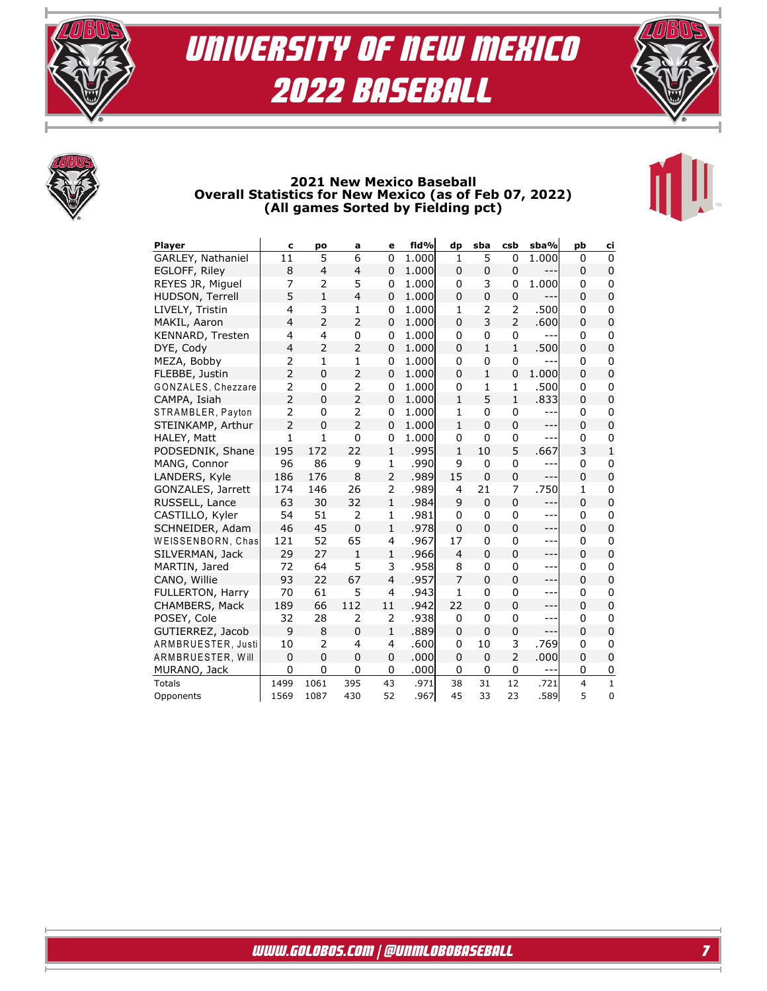





### **2021 New Mexico Baseball Overall Statistics for New Mexico (as of Feb 07, 2022) (All games Sorted by Fielding pct)**

| <b>Player</b>      | c              | po             | a              | е              | fld%  | dp             | sba            | csb            | sba%    | pb                      | ci             |
|--------------------|----------------|----------------|----------------|----------------|-------|----------------|----------------|----------------|---------|-------------------------|----------------|
| GARLEY, Nathaniel  | 11             | 5              | 6              | 0              | 1.000 | $\mathbf{1}$   | 5              | $\mathbf 0$    | 1.000   | 0                       | $\Omega$       |
| EGLOFF, Riley      | 8              | $\overline{4}$ | $\overline{4}$ | 0              | 1.000 | 0              | $\mathbf 0$    | 0              | ---     | 0                       | $\mathbf 0$    |
| REYES JR, Miguel   | 7              | $\overline{2}$ | 5              | 0              | 1.000 | 0              | 3              | 0              | 1.000   | 0                       | 0              |
| HUDSON, Terrell    | 5              | $\mathbf{1}$   | $\overline{4}$ | 0              | 1.000 | 0              | $\overline{0}$ | 0              | ---     | 0                       | $\overline{0}$ |
| LIVELY, Tristin    | 4              | 3              | 1              | 0              | 1.000 | 1              | $\overline{2}$ | 2              | .500    | 0                       | $\mathbf 0$    |
| MAKIL, Aaron       | $\overline{4}$ | $\overline{2}$ | $\overline{2}$ | 0              | 1.000 | 0              | 3              | $\overline{2}$ | .600    | $\Omega$                | $\mathbf 0$    |
| KENNARD, Tresten   | 4              | 4              | 0              | 0              | 1.000 | 0              | $\mathbf 0$    | 0              |         | 0                       | $\mathbf 0$    |
| DYE, Cody          | $\overline{4}$ | $\overline{2}$ | 2              | 0              | 1.000 | 0              | $\mathbf{1}$   | 1              | .500    | 0                       | 0              |
| MEZA, Bobby        | $\overline{2}$ | $\mathbf{1}$   | $\mathbf{1}$   | 0              | 1.000 | 0              | $\mathbf 0$    | $\mathbf 0$    |         | 0                       | $\mathbf 0$    |
| FLEBBE, Justin     | $\overline{2}$ | 0              | 2              | 0              | 1.000 | 0              | $\mathbf{1}$   | 0              | 1.000   | 0                       | 0              |
| GONZALES, Chezzare | $\overline{2}$ | 0              | 2              | 0              | 1.000 | 0              | 1              | 1              | .500    | 0                       | 0              |
| CAMPA, Isiah       | $\overline{2}$ | 0              | $\overline{2}$ | 0              | 1.000 | $\mathbf{1}$   | 5              | $\mathbf{1}$   | .833    | 0                       | $\overline{0}$ |
| STRAMBLER, Payton  | 2              | 0              | $\overline{2}$ | 0              | 1.000 | 1              | 0              | 0              | $---$   | 0                       | 0              |
| STEINKAMP, Arthur  | $\overline{2}$ | $\Omega$       | $\overline{2}$ | 0              | 1.000 | $\mathbf{1}$   | $\mathbf{0}$   | 0              | $---$   | 0                       | 0              |
| HALEY, Matt        | 1              | $\mathbf{1}$   | 0              | 0              | 1.000 | 0              | $\mathbf{0}$   | 0              | $- - -$ | 0                       | 0              |
| PODSEDNIK, Shane   | 195            | 172            | 22             | $\mathbf{1}$   | .995  | $\mathbf{1}$   | 10             | 5              | .667    | 3                       | $\mathbf{1}$   |
| MANG, Connor       | 96             | 86             | 9              | 1              | .990  | 9              | $\mathbf 0$    | 0              | ---     | 0                       | 0              |
| LANDERS, Kyle      | 186            | 176            | 8              | $\overline{2}$ | .989  | 15             | $\overline{0}$ | 0              | $---$   | 0                       | $\overline{0}$ |
| GONZALES, Jarrett  | 174            | 146            | 26             | 2              | .989  | 4              | 21             | 7              | .750    | 1                       | 0              |
| RUSSELL, Lance     | 63             | 30             | 32             | $\mathbf{1}$   | .984  | 9              | $\overline{0}$ | $\mathbf 0$    | ---     | $\Omega$                | $\overline{0}$ |
| CASTILLO, Kyler    | 54             | 51             | $\overline{2}$ | 1              | .981  | 0              | 0              | 0              | $---$   | 0                       | 0              |
| SCHNEIDER, Adam    | 46             | 45             | 0              | $\mathbf{1}$   | .978  | 0              | $\Omega$       | 0              | ---     | 0                       | 0              |
| WEISSENBORN, Chas  | 121            | 52             | 65             | 4              | .967  | 17             | $\Omega$       | 0              | $---$   | 0                       | 0              |
| SILVERMAN, Jack    | 29             | 27             | $\mathbf{1}$   | $\mathbf{1}$   | .966  | 4              | $\Omega$       | 0              | ---     | 0                       | 0              |
| MARTIN, Jared      | 72             | 64             | 5              | 3              | .958  | 8              | $\mathbf 0$    | $\mathbf 0$    | ---     | 0                       | $\mathbf 0$    |
| CANO, Willie       | 93             | 22             | 67             | $\overline{4}$ | .957  | $\overline{7}$ | $\Omega$       | 0              | $---$   | 0                       | 0              |
| FULLERTON, Harry   | 70             | 61             | 5              | 4              | .943  | 1              | $\mathbf{0}$   | 0              | ---     | 0                       | $\mathbf{0}$   |
| CHAMBERS, Mack     | 189            | 66             | 112            | 11             | .942  | 22             | $\mathbf{0}$   | 0              | ---     | 0                       | $\overline{0}$ |
| POSEY, Cole        | 32             | 28             | $\overline{2}$ | 2              | .938  | 0              | $\mathbf{0}$   | 0              | $---$   | 0                       | 0              |
| GUTIERREZ, Jacob   | 9              | 8              | $\overline{0}$ | 1              | .889  | 0              | $\Omega$       | 0              | $- - -$ | 0                       | 0              |
| ARMBRUESTER, Justi | 10             | $\overline{2}$ | 4              | 4              | .600  | 0              | 10             | 3              | .769    | 0                       | 0              |
| ARMBRUESTER, Will  | $\Omega$       | $\overline{0}$ | $\overline{0}$ | 0              | .000  | 0              | $\mathbf{0}$   | $\overline{2}$ | .000    | 0                       | 0              |
| MURANO, Jack       | $\mathbf 0$    | 0              | 0              | 0              | .000  | 0              | $\mathbf 0$    | 0              | ---     | 0                       | 0              |
| <b>Totals</b>      | 1499           | 1061           | 395            | 43             | .971  | 38             | 31             | 12             | .721    | $\overline{\mathbf{4}}$ | $\mathbf{1}$   |
| Opponents          | 1569           | 1087           | 430            | 52             | .967  | 45             | 33             | 23             | .589l   | 5                       | $\mathbf 0$    |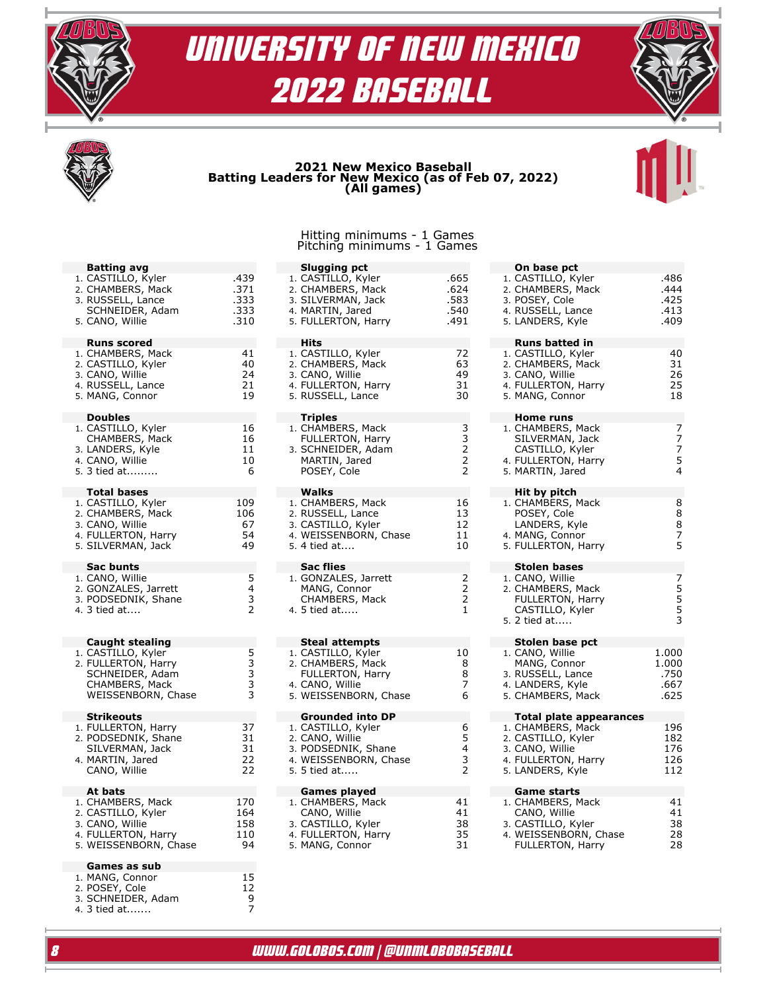





## **2021 New Mexico Baseball Batting Leaders for New Mexico (as of Feb 07, 2022) (All games)**

#### Hitting minimums - 1 Games Pitching minimums - 1 Games

| <b>Batting avg</b><br>1. CASTILLO, Kyler<br>2. CHAMBERS, Mack<br>3. RUSSELL, Lance<br>SCHNEIDER, Adam<br>5. CANO, Willie       | .439<br>.371<br>.333<br>.333<br>.310 |
|--------------------------------------------------------------------------------------------------------------------------------|--------------------------------------|
| <b>Runs scored</b><br>1. CHAMBERS, Mack<br>2. CASTILLO, Kyler<br>3. CANO, Willie<br>4. RUSSELL, Lance<br>5. MANG, Connor       | 41<br>40<br>24<br>21<br>19           |
| <b>Doubles</b><br>1. CASTILLO, Kyler<br>CHAMBERS, Mack<br>3. LANDERS, Kyle<br>4. CANO, Willie<br>5. 3 tied at                  | 16<br>16<br>11<br>10<br>6            |
| <b>Total bases</b><br>1. CASTILLO, Kyler<br>2. CHAMBERS, Mack<br>3. CANO, Willie<br>4. FULLERTON, Harry<br>5. SILVERMAN, Jack  | 109<br>106<br>67<br>54<br>49         |
| Sac bunts<br>1. CANO, Willie<br>2. GONZALES, Jarrett<br>3. PODSEDNIK, Shane<br>4. 3 tied at                                    | 5432                                 |
| <b>Caught stealing</b><br>1. CASTILLO, Kyler<br>2. FULLERTON, Harry<br>SCHNEIDER, Adam<br>CHAMBERS, Mack<br>WEISSENBORN, Chase | 533333                               |
| <b>Strikeouts</b><br>1. FULLERTON, Harry<br>2. PODSEDNIK, Shane<br>SILVERMAN, Jack<br>4. MARTIN, Jared<br>CANO, Willie         | 37<br>31<br>31<br>22<br>22           |
| At bats<br>1. CHAMBERS, Mack<br>2. CASTILLO, Kyler<br>3. CANO, Willie<br>4. FULLERTON, Harry<br>5. WEISSENBORN, Chase          | 170<br>164<br>158<br>110<br>94       |
| Games as sub<br>1. MANG, Connor<br>2. POSEY, Cole<br>3. SCHNEIDER, Adam<br>3 tied at<br>4.                                     | 15<br>$\overline{12}$<br>9<br>7      |

| Slugging pct<br>1. CASTILLO, Kyler<br>2. CHAMBERS, Mack<br>3. SILVERMAN, Jack<br>4. MARTIN, Jared<br>5. FULLERTON, Harry         | .665<br>.624<br>.583<br>.540<br>.491       |
|----------------------------------------------------------------------------------------------------------------------------------|--------------------------------------------|
| Hits<br>1. CASTILLO, Kyler<br>2. CHAMBERS, Mack<br>3. CANO, Willie<br>4. FULLERTON, Harry<br>5. RUSSELL, Lance                   | 72<br>63<br>49<br>31<br>30                 |
| <b>Triples</b><br>1. CHAMBERS, Mack<br>FULLERTON, Harry<br>3. SCHNEIDER, Adam<br>MARTIN, Jared<br>POSEY, Cole                    | 33222                                      |
| <b>Walks</b><br>1. CHAMBERS, Mack<br>2. RUSSELL, Lance<br>3. CASTILLO, Kyler<br>4. WEISSENBORN, Chase<br>5. 4 tied at            | 16<br>13<br>12<br>11<br>10                 |
| Sac flies<br>1. GONZALES, Jarrett<br>MANG, Connor<br>CHAMBERS, Mack<br>4. 5 tied at                                              | $\begin{array}{c} 2 \\ 2 \\ 2 \end{array}$ |
| <b>Steal attempts</b><br>1. CASTILLO, Kyler<br>2. CHAMBERS, Mack<br>FULLERTON, Harry<br>4. CANO, Willie<br>5. WEISSENBORN, Chase | 10<br>8<br>8<br>7<br>6                     |
| <b>Grounded into DP</b><br>1. CASTILLO, Kyler<br>2. CANO, Willie<br>3. PODSEDNIK, Shane<br>4. WEISSENBORN, Chase<br>5. 5 tied at | 6<br>5432                                  |
| <b>Games played</b><br>1. CHAMBERS, Mack<br>CANO, Willie<br>3. CASTILLO, Kyler<br>4. FULLERTON, Harry<br>5. MANG, Connor         | 41<br>41<br>38<br>35<br>31                 |

| On base pct<br>1. CASTILLO, Kyler<br>2. CHAMBERS, Mack<br>3. POSEY, Cole<br>4. RUSSELL, Lance<br>5. LANDERS, Kyle | .486<br>.444<br>.425<br>.413<br>.409 |
|-------------------------------------------------------------------------------------------------------------------|--------------------------------------|
| <b>Runs batted in</b><br>1. CASTILLO, Kyler                                                                       | 40                                   |
| 2. CHAMBERS, Mack<br>3. CANO, Willie<br>4. FULLERTON, Harry<br>5. MANG, Connor                                    | 31<br>26<br>25<br>18                 |
| Home runs<br>1. CHAMBERS, Mack                                                                                    |                                      |
| SILVERMAN, Jack                                                                                                   |                                      |
| CASTILLO, Kyler<br>4. FULLERTON, Harry<br>5. MARTIN, Jared                                                        | 77754                                |
| Hit by pitch                                                                                                      |                                      |
| 1. CHAMBERS, Mack<br>POSEY, Cole                                                                                  | 8<br>8                               |
| LANDERS, Kyle<br>4. MANG, Connor                                                                                  | 8                                    |
| 5. FULLERTON, Harry                                                                                               | -<br>5<br>5                          |
| <b>Stolen bases</b>                                                                                               |                                      |
| 1. CANO, Willie<br>2. CHAMBERS, Mack                                                                              | 7557                                 |
| <b>FULLERTON, Harry</b><br>CASTILLO, Kyler                                                                        |                                      |
| 5. 2 tied at                                                                                                      |                                      |
| Stolen base pct<br>1. CANO, Willie                                                                                | 1.000                                |
| MANG, Connor                                                                                                      | 1.000                                |
| 3. RUSSELL, Lance<br>4. LANDERS, Kyle                                                                             | .750<br>.667                         |
| 5. CHAMBERS, Mack                                                                                                 | .625                                 |
| <b>Total plate appearances</b><br>1. CHAMBERS, Mack                                                               | 196                                  |
| 2. CASTILLO, Kyler<br>3. CANO, Willie                                                                             | 182<br>176                           |
| 4. FULLERTON, Harry                                                                                               | 126                                  |
| 5. LANDERS, Kyle                                                                                                  | 112                                  |
| <b>Game starts</b><br>1. CHAMBERS, Mack                                                                           | 41                                   |
| CANO, Willie<br>3. CASTILLO, Kyler                                                                                | 41<br>38                             |
| WEISSENBORN, Chase<br>4.                                                                                          | 28                                   |

FULLERTON, Harry 28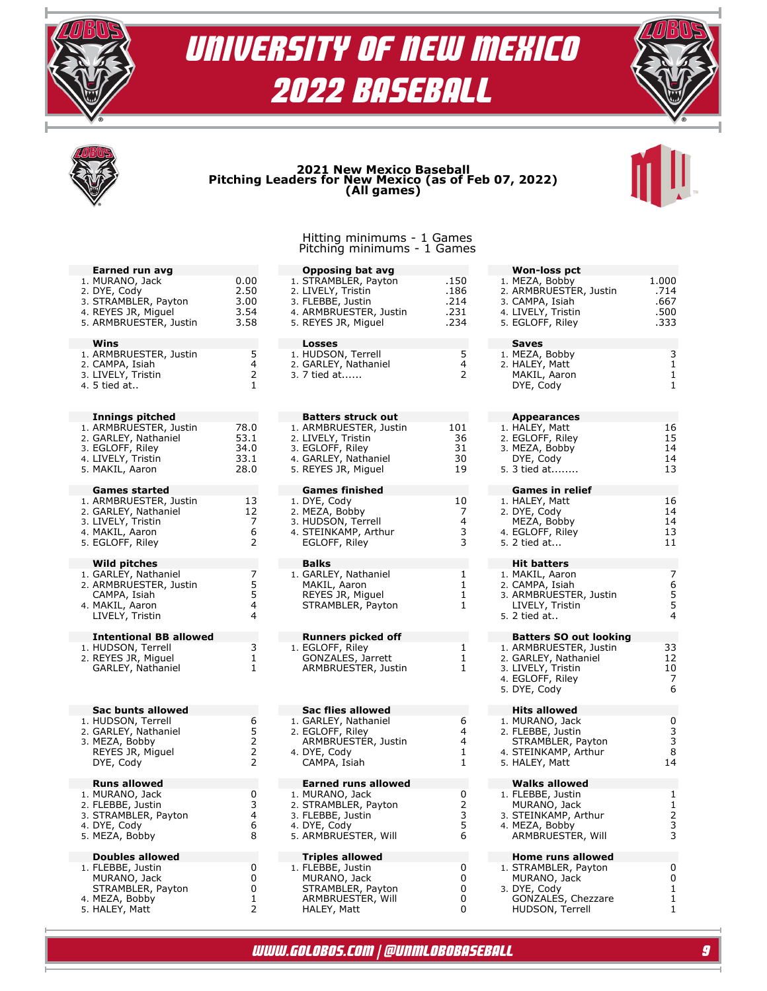





## **2021 New Mexico Baseball Pitching Leaders for New Mexico (as of Feb 07, 2022) (All games)**



#### Hitting minimums - 1 Games Pitching minimums - 1 Games

| Earned run avg<br>1. MURANO, Jack<br>2. DYE, Cody<br>3. STRAMBLER, Payton<br>4. REYES JR, Miguel<br>5. ARMBRUESTER, Justin            | 0.00<br>2.50<br>3.00<br>3.54<br>3.58     |
|---------------------------------------------------------------------------------------------------------------------------------------|------------------------------------------|
| Wins<br>1. ARMBRUESTER, Justin<br>2. CAMPA, Isiah<br>3. LIVELY, Tristin<br>4. 5 tied at                                               | 5<br>4<br>$\overline{c}$<br>$\mathbf{1}$ |
| <b>Innings pitched</b><br>1. ARMBRUESTER, Justin<br>2. GARLEY, Nathaniel<br>3. EGLOFF, Riley<br>4. LIVELY, Tristin<br>5. MAKIL, Aaron | 78.0<br>53.1<br>34.0<br>33.1<br>28.0     |
| <b>Games started</b><br>1. ARMBRUESTER, Justin<br>2. GARLEY, Nathaniel<br>3. LIVELY, Tristin<br>4. MAKIL, Aaron<br>5. EGLOFF, Riley   | 13<br>12<br>7<br>6<br>2                  |
| <b>Wild pitches</b><br>1. GARLEY, Nathaniel<br>2. ARMBRUESTER, Justin<br>CAMPA, Isiah<br>4. MAKIL, Aaron<br>LIVELY, Tristin           | 75544                                    |
| <b>Intentional BB allowed</b><br>1. HUDSON, Terrell<br>2. REYES JR, Miguel<br>GARLEY, Nathaniel                                       | 3<br>$\mathbf{1}$<br>1                   |
| Sac bunts allowed<br>1. HUDSON, Terrell<br>2. GARLEY, Nathaniel<br>3. MEZA, Bobby<br>REYES JR, Miguel<br>DYE, Cody                    | 65222                                    |
| <b>Runs allowed</b><br>1. MURANO, Jack<br>2. FLEBBE, Justin<br>3. STRAMBLER, Payton<br>4. DYE, Cody<br>5. MEZA, Bobby                 | 0<br>3<br>4<br>6<br>8                    |
| <b>Doubles allowed</b><br>1. FLEBBE, Justin<br>MURANO, Jack<br>STRAMBLER, Payton<br>MEZA, Bobby<br>4.                                 | 0<br>0<br>0<br>1                         |

5. HALEY, Matt 2

| <b>Opposing bat avg</b>                                                                                                                      |                                      |
|----------------------------------------------------------------------------------------------------------------------------------------------|--------------------------------------|
| 1. STRAMBLER, Payton<br>2. LIVELY, Tristin<br>3. FLEBBE, Justin<br>4. ARMBRUESTER, Justin<br>5. REYES JR, Miguel                             | .150<br>.186<br>.214<br>.231<br>.234 |
| <b>Losses</b><br>1. HUDSON, Terrell<br>2. GARLEY, Nathaniel<br>3. 7 tied at                                                                  | 5<br>4<br>$\overline{2}$             |
| <b>Batters struck out</b><br>1. ARMBRUESTER, Justin<br>2. LIVELY, Tristin<br>3. EGLOFF, Riley<br>4. GARLEY, Nathaniel<br>5. REYES JR, Miguel | 101<br>36<br>31<br>30<br>19          |
| <b>Games finished</b><br>1. DYE, Cody<br>2. MEZA, Bobby<br>3. HUDSON, Terrell<br>4. STEINKAMP, Arthur<br>EGLOFF, Riley                       | 10<br>7<br>4<br>3<br>3               |
| Balks<br>1. GARLEY, Nathaniel<br>MAKIL, Aaron<br>REYES JR, Miguel<br>STRAMBLER, Payton                                                       | 1<br>1<br>1<br>1                     |
| <b>Runners picked off</b><br>1. EGLOFF, Riley<br>GONZALES, Jarrett<br>ARMBRUESTER, Justin                                                    | 1<br>1<br>1                          |
| <b>Sac flies allowed</b><br>1. GARLEY, Nathaniel<br>2. EGLOFF, Riley<br>ARMBRUESTER, Justin<br>4. DYE, Cody<br>CAMPA, Isiah                  | 6<br>4<br>4<br>1<br>1                |
| <b>Earned runs allowed</b><br>1. MURANO, Jack<br>2. STRAMBLER, Payton<br>3. FLEBBE, Justin<br>4. DYE, Cody<br>5. ARMBRUESTER, Will           | 0<br>$\overline{2}$<br>3<br>5<br>6   |
| Triples allowed<br>1. FLEBBE, Justin<br>MURANO, Jack<br>STRAMBLER, Payton<br>ARMBRUESTER, Will<br>HALEY, Matt                                | 0<br>0<br>0<br>0<br>0                |

| <b>Won-loss pct</b><br>1. MEZA, Bobby<br>2. ARMBRUESTER, Justin<br>3. CAMPA, Isiah<br>4. LIVELY,<br>4. LIVELY, Tristin<br>5. EGLOFF, Riley | 1.000<br>.714<br>.667<br>.500<br>.333 |
|--------------------------------------------------------------------------------------------------------------------------------------------|---------------------------------------|
| Saves<br>1. MEZA, Bobby<br>2. HALEY, Matt<br>MAKIL, Aaron<br>DYE, Cody                                                                     | 3<br>$\mathbf{1}$<br>1<br>1           |
| <b>Appearances</b><br>1. HALEY, Matt<br>2. EGLOFF, Riley<br>3. MEZA, Bobby<br>DYE, Cody<br>5. 3 tied at                                    | 16<br>15<br>14<br>14<br>13            |
| <b>Games in relief</b><br>1. HALEY, Matt<br>2. DYE, Cody<br>MEZA, Bobby<br>4. EGLOFF, Riley<br>5. 2 tied at                                | 16<br>14<br>14<br>13<br>11            |
| <b>Hit batters</b><br>1. MAKIL, Aaron<br>2. CAMPA, Isiah<br>3. ARMBRUESTER, Justin<br>LIVELY, Tristin<br>5. 2 tied at                      | 7<br>6<br>5<br>5<br>4                 |
| <b>Batters SO out looking</b><br>1. ARMBRUESTER, Justin<br>2. GARLEY, Nathaniel<br>3. LIVELY, Tristin<br>4. EGLOFF, Riley<br>5. DYE, Cody  | 33<br>12<br>10<br>7<br>6              |
| <b>Hits allowed</b><br>1. MURANO, Jack<br>2. FLEBBE, Justin<br>STRAMBLER, Payton<br>4. STEINKAMP, Arthur<br>5. HALEY, Matt                 | 0<br>3<br>3<br>8<br>14                |
| <b>Walks allowed</b><br>1. FLEBBE, Justin<br>MURANO, Jack<br>3. STEINKAMP, Arthur<br>4. MEZA, Bobby<br>ARMBRUESTER, Will                   | 1<br>1<br>2<br>3                      |
| <b>Home runs allowed</b><br>1. STRAMBLER, Payton<br>MURANO, Jack<br>3. DYE, Cody<br>GONZALES, Chezzare<br>HUDSON, Terrell                  | 0<br>0<br>1<br>1<br>1                 |

www.GoLobos.com | @UNMLoboBaseball 9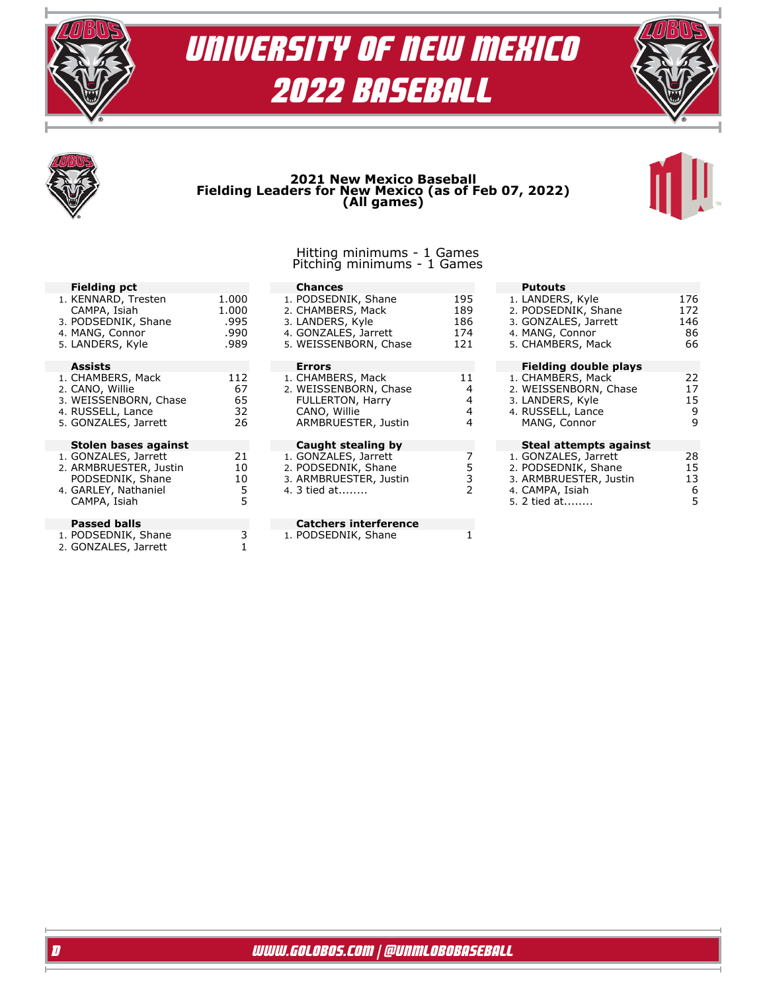





## **2021 New Mexico Baseball Fielding Leaders for New Mexico (as of Feb 07, 2022) (All games)**



#### Hitting minimums - 1 Games Pitching minimums - 1 Games

| <b>Fielding pct</b>                                                                                        |                                        | <b>Chances</b>                                                                                                |                                 | <b>Putouts</b>                                                                                           |                               |
|------------------------------------------------------------------------------------------------------------|----------------------------------------|---------------------------------------------------------------------------------------------------------------|---------------------------------|----------------------------------------------------------------------------------------------------------|-------------------------------|
| 1. KENNARD, Tresten<br>CAMPA, Isiah<br>3. PODSEDNIK, Shane<br>4. MANG, Connor<br>5. LANDERS, Kyle          | 1.000<br>1.000<br>.995<br>.990<br>.989 | 1. PODSEDNIK, Shane<br>2. CHAMBERS, Mack<br>3. LANDERS, Kyle<br>4. GONZALES, Jarrett<br>5. WEISSENBORN, Chase | 195<br>189<br>186<br>174<br>121 | 1. LANDERS, Kyle<br>2. PODSEDNIK, Shane<br>3. GONZALES, Jarrett<br>4. MANG, Connor<br>5. CHAMBERS, Mack  | 176<br>172<br>146<br>86<br>66 |
|                                                                                                            |                                        |                                                                                                               |                                 |                                                                                                          |                               |
| <b>Assists</b>                                                                                             |                                        | <b>Errors</b>                                                                                                 |                                 | Fielding double plays                                                                                    |                               |
| 1. CHAMBERS, Mack<br>2. CANO, Willie<br>3. WEISSENBORN, Chase<br>4. RUSSELL, Lance<br>5. GONZALES, Jarrett | 112<br>67<br>65<br>32<br>26            | 1. CHAMBERS, Mack<br>2. WEISSENBORN, Chase<br>FULLERTON, Harry<br>CANO, Willie<br>ARMBRUESTER, Justin         | 11<br>4<br>4<br>4<br>4          | 1. CHAMBERS, Mack<br>2. WEISSENBORN, Chase<br>3. LANDERS, Kyle<br>4. RUSSELL, Lance<br>MANG, Connor      | 22<br>17<br>15<br>9<br>9      |
| Stolen bases against                                                                                       |                                        | Caught stealing by                                                                                            |                                 | Steal attempts against                                                                                   |                               |
| 1. GONZALES, Jarrett<br>2. ARMBRUESTER, Justin<br>PODSEDNIK, Shane<br>4. GARLEY, Nathaniel<br>CAMPA, Isiah | 21<br>10<br>10<br>5<br>5               | 1. GONZALES, Jarrett<br>2. PODSEDNIK, Shane<br>3. ARMBRUESTER, Justin<br>4. 3 tied at                         | 3<br>$\overline{2}$             | 1. GONZALES, Jarrett<br>2. PODSEDNIK, Shane<br>3. ARMBRUESTER, Justin<br>4. CAMPA, Isiah<br>5. 2 tied at | 28<br>15<br>13<br>6<br>5      |
| <b>Passed balls</b>                                                                                        |                                        | <b>Catchers interference</b>                                                                                  |                                 |                                                                                                          |                               |
| 1. PODSEDNIK, Shane<br>2. GONZALES, Jarrett                                                                |                                        | 1. PODSEDNIK, Shane                                                                                           |                                 |                                                                                                          |                               |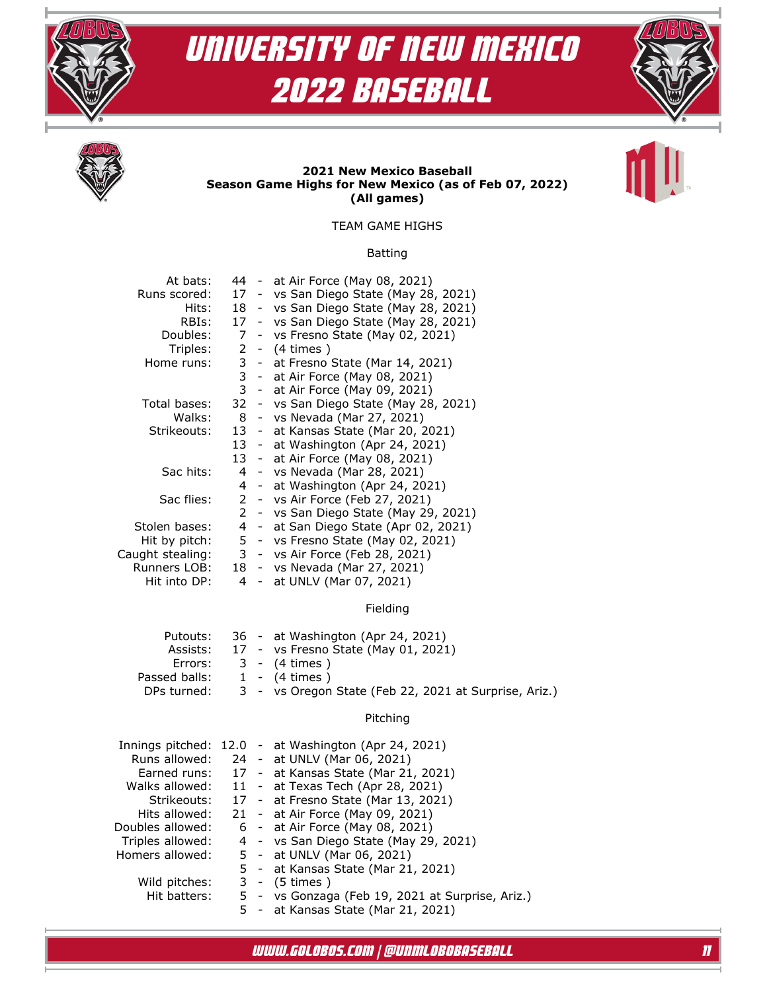







### **2021 New Mexico Baseball Season Game Highs for New Mexico (as of Feb 07, 2022) (All games)**

TEAM GAME HIGHS

### Batting

| At bats:         |                |        | 44 - at Air Force (May 08, 2021)       |
|------------------|----------------|--------|----------------------------------------|
| Runs scored:     |                |        | 17 - vs San Diego State (May 28, 2021) |
| Hits:            |                |        | 18 - vs San Diego State (May 28, 2021) |
| RBIs:            |                |        | 17 - vs San Diego State (May 28, 2021) |
| Doubles:         | 7              |        | - vs Fresno State (May 02, 2021)       |
| Triples:         |                |        | 2 - (4 times)                          |
| Home runs:       | 3              |        | - at Fresno State (Mar 14, 2021)       |
|                  | 3              |        | - at Air Force (May 08, 2021)          |
|                  |                |        | 3 - at Air Force (May 09, 2021)        |
| Total bases:     |                |        | 32 - vs San Diego State (May 28, 2021) |
| Walks:           |                |        | 8 - vs Nevada (Mar 27, 2021)           |
| Strikeouts:      |                |        | 13 - at Kansas State (Mar 20, 2021)    |
|                  |                |        | 13 - at Washington (Apr 24, 2021)      |
|                  |                |        | 13 - at Air Force (May 08, 2021)       |
| Sac hits:        | $\overline{4}$ |        | - vs Nevada (Mar 28, 2021)             |
|                  |                |        | 4 - at Washington (Apr 24, 2021)       |
| Sac flies:       |                |        | 2 - vs Air Force (Feb 27, 2021)        |
|                  | $\mathbf{2}$   |        | - vs San Diego State (May 29, 2021)    |
| Stolen bases:    |                |        | 4 - at San Diego State (Apr 02, 2021)  |
| Hit by pitch:    |                |        | 5 - vs Fresno State (May 02, 2021)     |
| Caught stealing: |                |        | 3 - vs Air Force (Feb 28, 2021)        |
| Runners LOB:     |                |        | 18 - vs Nevada (Mar 27, 2021)          |
| Hit into DP:     | 4              | $\sim$ | at UNLV (Mar 07, 2021)                 |
|                  |                |        |                                        |

### Fielding

| Putouts:      |  | 36 - at Washington (Apr 24, 2021)                     |
|---------------|--|-------------------------------------------------------|
|               |  | Assists: 17 - vs Fresno State (May 01, 2021)          |
| Errors:       |  | 3 - (4 times )                                        |
| Passed balls: |  | 1 - (4 times )                                        |
| DPs turned:   |  | 3 - vs Oregon State (Feb 22, 2021 at Surprise, Ariz.) |

### Pitching

|                  |  | Innings pitched: 12.0 - at Washington (Apr 24, 2021) |
|------------------|--|------------------------------------------------------|
| Runs allowed:    |  | 24 - at UNLV (Mar 06, 2021)                          |
| Earned runs:     |  | 17 - at Kansas State (Mar 21, 2021)                  |
| Walks allowed:   |  | 11 - at Texas Tech (Apr 28, 2021)                    |
| Strikeouts:      |  | 17 - at Fresno State (Mar 13, 2021)                  |
| Hits allowed:    |  | 21 - at Air Force (May 09, 2021)                     |
| Doubles allowed: |  | 6 - at Air Force (May 08, 2021)                      |
| Triples allowed: |  | 4 - vs San Diego State (May 29, 2021)                |
| Homers allowed:  |  | 5 - at UNLV (Mar 06, 2021)                           |
|                  |  | 5 - at Kansas State (Mar 21, 2021)                   |
| Wild pitches:    |  | 3 - (5 times)                                        |
| Hit batters:     |  | 5 - vs Gonzaga (Feb 19, 2021 at Surprise, Ariz.)     |
|                  |  | at Kancas Ctato (Mar 21, 2021)                       |

at Kansas State (Mar 21, 2021)